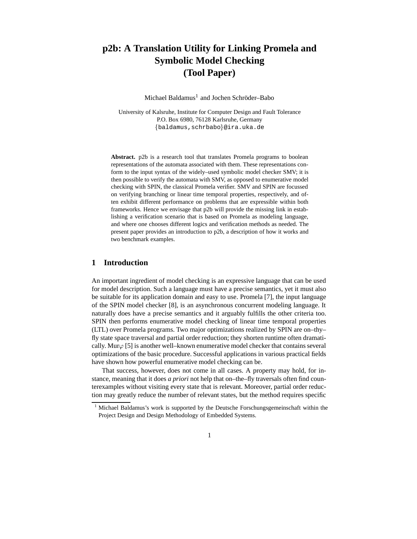# **p2b: A Translation Utility for Linking Promela and Symbolic Model Checking (Tool Paper)**

Michael Baldamus $^{\rm 1}$  and Jochen Schröder–Babo

University of Kalsruhe, Institute for Computer Design and Fault Tolerance P.O. Box 6980, 76128 Karlsruhe, Germany {baldamus, schrbabo}@ira.uka.de

**Abstract.** p2b is a research tool that translates Promela programs to boolean representations of the automata associated with them. These representations conform to the input syntax of the widely–used symbolic model checker SMV; it is then possible to verify the automata with SMV, as opposed to enumerative model checking with SPIN, the classical Promela verifier. SMV and SPIN are focussed on verifying branching or linear time temporal properties, respectively, and often exhibit different performance on problems that are expressible within both frameworks. Hence we envisage that p2b will provide the missing link in establishing a verification scenario that is based on Promela as modeling language, and where one chooses different logics and verification methods as needed. The present paper provides an introduction to p2b, a description of how it works and two benchmark examples.

# **1 Introduction**

An important ingredient of model checking is an expressive language that can be used for model description. Such a language must have a precise semantics, yet it must also be suitable for its application domain and easy to use. Promela [7], the input language of the SPIN model checker [8], is an asynchronous concurrent modeling language. It naturally does have a precise semantics and it arguably fulfills the other criteria too. SPIN then performs enumerative model checking of linear time temporal properties (LTL) over Promela programs. Two major optimizations realized by SPIN are on–thy– fly state space traversal and partial order reduction; they shorten runtime often dramatically. Mur $\varphi$  [5] is another well–known enumerative model checker that contains several optimizations of the basic procedure. Successful applications in various practical fields have shown how powerful enumerative model checking can be.

That success, however, does not come in all cases. A property may hold, for instance, meaning that it does *a priori* not help that on–the–fly traversals often find counterexamples without visiting every state that is relevant. Moreover, partial order reduction may greatly reduce the number of relevant states, but the method requires specific

<sup>&</sup>lt;sup>1</sup> Michael Baldamus's work is supported by the Deutsche Forschungsgemeinschaft within the Project Design and Design Methodology of Embedded Systems.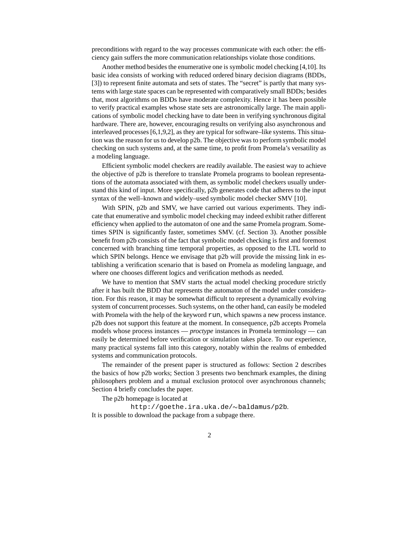preconditions with regard to the way processes communicate with each other: the efficiency gain suffers the more communication relationships violate those conditions.

Another method besides the enumerative one is symbolic model checking [4,10]. Its basic idea consists of working with reduced ordered binary decision diagrams (BDDs, [3]) to represent finite automata and sets of states. The "secret" is partly that many systems with large state spaces can be represented with comparatively small BDDs; besides that, most algorithms on BDDs have moderate complexity. Hence it has been possible to verify practical examples whose state sets are astronomically large. The main applications of symbolic model checking have to date been in verifying synchronous digital hardware. There are, however, encouraging results on verifying also asynchronous and interleaved processes [6,1,9,2], as they are typical for software–like systems. This situation was the reason for us to develop p2b. The objective was to perform symbolic model checking on such systems and, at the same time, to profit from Promela's versatility as a modeling language.

Efficient symbolic model checkers are readily available. The easiest way to achieve the objective of p2b is therefore to translate Promela programs to boolean representations of the automata associated with them, as symbolic model checkers usually understand this kind of input. More specifically, p2b generates code that adheres to the input syntax of the well–known and widely–used symbolic model checker SMV [10].

With SPIN, p2b and SMV, we have carried out various experiments. They indicate that enumerative and symbolic model checking may indeed exhibit rather different efficiency when applied to the automaton of one and the same Promela program. Sometimes SPIN is significantly faster, sometimes SMV. (cf. Section 3). Another possible benefit from p2b consists of the fact that symbolic model checking is first and foremost concerned with branching time temporal properties, as opposed to the LTL world to which SPIN belongs. Hence we envisage that p2b will provide the missing link in establishing a verification scenario that is based on Promela as modeling language, and where one chooses different logics and verification methods as needed.

We have to mention that SMV starts the actual model checking procedure strictly after it has built the BDD that represents the automaton of the model under consideration. For this reason, it may be somewhat difficult to represent a dynamically evolving system of concurrent processes. Such systems, on the other hand, can easily be modeled with Promela with the help of the keyword run, which spawns a new process instance. p2b does not support this feature at the moment. In consequence, p2b accepts Promela models whose process instances — *proctype* instances in Promela terminology — can easily be determined before verification or simulation takes place. To our experience, many practical systems fall into this category, notably within the realms of embedded systems and communication protocols.

The remainder of the present paper is structured as follows: Section 2 describes the basics of how p2b works; Section 3 presents two benchmark examples, the dining philosophers problem and a mutual exclusion protocol over asynchronous channels; Section 4 briefly concludes the paper.

The p2b homepage is located at

http://goethe.ira.uka.de/~baldamus/p2b. It is possible to download the package from a subpage there.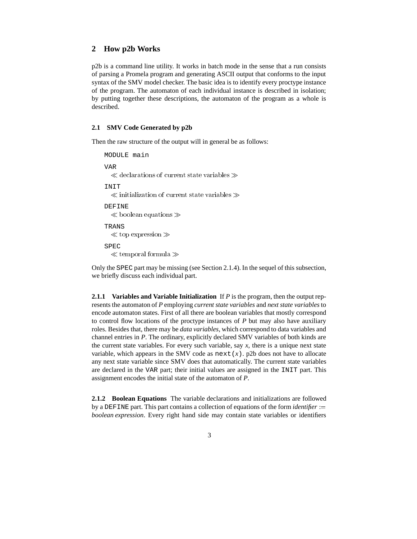# **2 How p2b Works**

p2b is a command line utility. It works in batch mode in the sense that a run consists of parsing a Promela program and generating ASCII output that conforms to the input syntax of the SMV model checker. The basic idea is to identify every proctype instance of the program. The automaton of each individual instance is described in isolation; by putting together these descriptions, the automaton of the program as a whole is described.

#### **2.1 SMV Code Generated by p2b**

Then the raw structure of the output will in general be as follows:

```
MODULE main
VAR
  \ll declarations of current state variables \ggINIT
  \ll initialization of current state variables \ggDEFINE
  \ll boolean equations \ggTRANS
  \ll top expression \ggSPEC
  \ll temporal formula \gg
```
Only the SPEC part may be missing (see Section 2.1.4). In the sequel of this subsection, we briefly discuss each individual part.

**2.1.1 Variables and Variable Initialization** If *P* is the program, then the output represents the automaton of *P* employing *current state variables* and *next state variables*to encode automaton states. First of all there are boolean variables that mostly correspond to control flow locations of the proctype instances of *P* but may also have auxiliary roles. Besides that, there may be *data variables*, which correspond to data variables and channel entries in *P*. The ordinary, explicitly declared SMV variables of both kinds are the current state variables. For every such variable, say  $x$ , there is a unique next state variable, which appears in the SMV code as  $\text{next}(x)$ . p2b does not have to allocate any next state variable since SMV does that automatically. The current state variables are declared in the VAR part; their initial values are assigned in the INIT part. This assignment encodes the initial state of the automaton of *P*.

**2.1.2 Boolean Equations** The variable declarations and initializations are followed by a DEFINE part. This part contains a collection of equations of the form *identifier* := *boolean expression*. Every right hand side may contain state variables or identifiers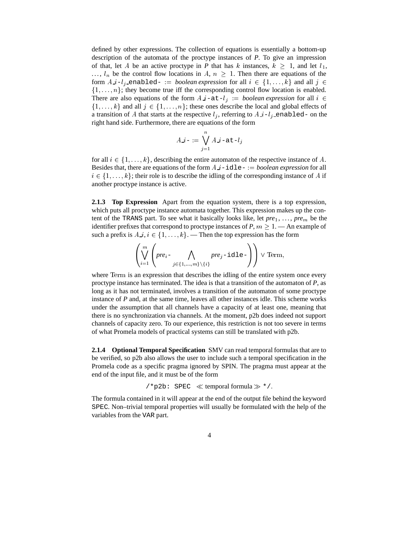defined by other expressions. The collection of equations is essentially a bottom-up description of the automata of the proctype instances of *P*. To give an impression of that, let A be an active proctype in P that has k instances,  $k \geq 1$ , and let  $l_1$ ,  $\ldots$ ,  $l_n$  be the control flow locations in A,  $n \geq 1$ . Then there are equations of the form  $A_i - l_j$  enabled- := *boolean expression* for all  $i \in \{1,...,k\}$  and all  $j \in$  $\{1,\ldots,n\}$ ; they become true iff the corresponding control flow location is enabled. There are also equations of the form  $A \textit{1}-at-l_j := boolean expression$  for all  $i \in$  $\{1,\ldots,k\}$  and all  $j \in \{1,\ldots,n\}$ ; these ones describe the local and global effects of a transition of A that starts at the respective  $l_j$ , referring to  $A \dot{j}$ - $l_j$ -enabled- on the right hand side. Furthermore, there are equations of the form

$$
A\_i- := \bigvee_{j=1}^n A\_i\text{-at}-l_j
$$

for all  $i \in \{1,\ldots,k\}$ , describing the entire automaton of the respective instance of A. Besides that, there are equations of the form <sup>A</sup> <sup>i</sup>-idle- := *boolean expression* for all  $i \in \{1,\ldots,k\}$ ; their role is to describe the idling of the corresponding instance of A if another proctype instance is active.

**2.1.3 Top Expression** Apart from the equation system, there is a top expression, which puts all proctype instance automata together. This expression makes up the content of the TRANS part. To see what it basically looks like, let  $pre_1, \ldots, pre_m$  be the identifier prefixes that correspond to proctype instances of  $P, m \geq 1$ . — An example of such a prefix is  $A_i, i \in \{1,\ldots,k\}$ . — Then the top expression has the form

$$
\left(\bigvee_{i=1}^{m} \left( pre_i - \bigwedge_{j \in \{1, ..., m\} \setminus \{i\}} pre_j - idle - \right) \right) \vee \text{Term},
$$

where Term is an expression that describes the idling of the entire system once every proctype instance has terminated. The idea is that a transition of the automaton of *P*, as long as it has not terminated, involves a transition of the automaton of some proctype instance of *P* and, at the same time, leaves all other instances idle. This scheme works under the assumption that all channels have a capacity of at least one, meaning that there is no synchronization via channels. At the moment, p2b does indeed not support channels of capacity zero. To our experience, this restriction is not too severe in terms of what Promela models of practical systems can still be translated with p2b.

**2.1.4 Optional Temporal Specification** SMV can read temporal formulas that are to be verified, so p2b also allows the user to include such a temporal specification in the Promela code as a specific pragma ignored by SPIN. The pragma must appear at the end of the input file, and it must be of the form

/\*p2b: SPEC  $\ll$  temporal formula  $\gg$  \*/.

The formula contained in it will appear at the end of the output file behind the keyword SPEC. Non–trivial temporal properties will usually be formulated with the help of the variables from the VAR part.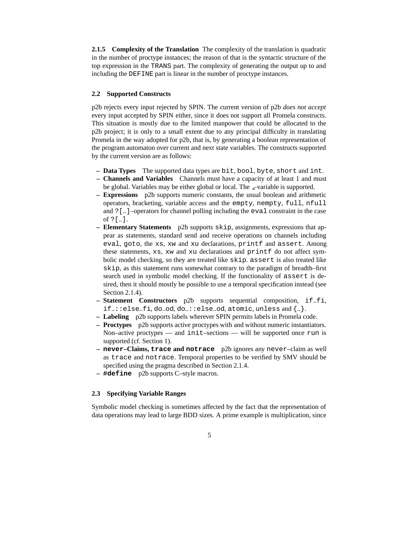**2.1.5 Complexity of the Translation** The complexity of the translation is quadratic in the number of proctype instances; the reason of that is the syntactic structure of the top expression in the TRANS part. The complexity of generating the output up to and including the DEFINE part is linear in the number of proctype instances.

## **2.2 Supported Constructs**

p2b rejects every input rejected by SPIN. The current version of p2b *does not accept* every input accepted by SPIN either, since it does not support all Promela constructs. This situation is mostly due to the limited manpower that could be allocated to the p2b project; it is only to a small extent due to any principal difficulty in translating Promela in the way adopted for p2b, that is, by generating a boolean representation of the program automaton over current and next state variables. The constructs supported by the current version are as follows:

- **Data Types** The supported data types are bit, bool, byte, short and int.
- **Channels and Variables** Channels must have a capacity of at least 1 and must be global. Variables may be either global or local. The –variable is supported.
- **Expressions** p2b supports numeric constants, the usual boolean and arithmetic operators, bracketing, variable access and the empty, nempty, full, nfull and ?[..]–operators for channel polling including the eval constraint in the case of ?[..].
- **Elementary Statements** p2b supports skip, assignments, expressions that appear as statements, standard send and receive operations on channels including eval, goto, the xs, xw and xu declarations, printf and assert. Among these statements, xs, xw and xu declarations and printf do not affect symbolic model checking, so they are treated like skip. assert is also treated like skip, as this statement runs somewhat contrary to the paradigm of breadth–first search used in symbolic model checking. If the functionality of assert is desired, then it should mostly be possible to use a temporal specification instead (see Section 2.1.4).
- **Statement Constructors** p2b supports sequential composition, if..fi, if..: $e$ lse..fi, do..od, do.. $e$ : $e$ lse..od, atomic, unless and  $\{.\}.$
- **Labeling** p2b supports labels wherever SPIN permits labels in Promela code.
- **Proctypes** p2b supports active proctypes with and without numeric instantiators. Non–active proctypes — and init–sections — will be supported once run is supported (cf. Section 1).
- **– never–Claims, trace and notrace** p2b ignores any never–claim as well as trace and notrace. Temporal properties to be verified by SMV should be specified using the pragma described in Section 2.1.4.
- **– #define** p2b supports C–style macros.

### **2.3 Specifying Variable Ranges**

Symbolic model checking is sometimes affected by the fact that the representation of data operations may lead to large BDD sizes. A prime example is multiplication, since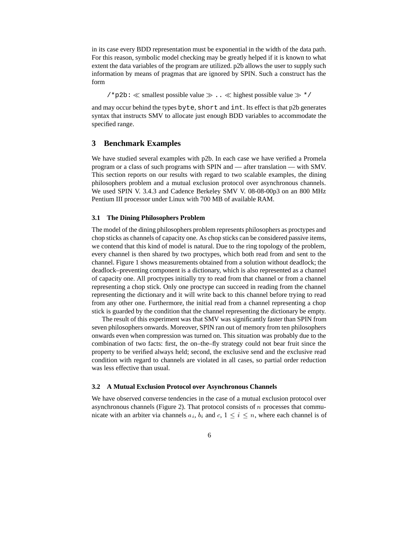in its case every BDD representation must be exponential in the width of the data path. For this reason, symbolic model checking may be greatly helped if it is known to what extent the data variables of the program are utilized. p2b allows the user to supply such information by means of pragmas that are ignored by SPIN. Such a construct has the form

/\*p2b:  $\ll$  smallest possible value  $\gg$ ..  $\ll$  highest possible value  $\gg$  \*/

and may occur behind the types byte, short and int. Its effect is that p2b generates syntax that instructs SMV to allocate just enough BDD variables to accommodate the specified range.

## **3 Benchmark Examples**

We have studied several examples with p2b. In each case we have verified a Promela program or a class of such programs with SPIN and — after translation — with SMV. This section reports on our results with regard to two scalable examples, the dining philosophers problem and a mutual exclusion protocol over asynchronous channels. We used SPIN V. 3.4.3 and Cadence Berkeley SMV V. 08-08-00p3 on an 800 MHz Pentium III processor under Linux with 700 MB of available RAM.

#### **3.1 The Dining Philosophers Problem**

The model of the dining philosophers problem represents philosophers as proctypes and chop sticks as channels of capacity one. As chop sticks can be considered passive items, we contend that this kind of model is natural. Due to the ring topology of the problem, every channel is then shared by two proctypes, which both read from and sent to the channel. Figure 1 shows measurements obtained from a solution without deadlock; the deadlock–preventing component is a dictionary, which is also represented as a channel of capacity one. All proctypes initially try to read from that channel or from a channel representing a chop stick. Only one proctype can succeed in reading from the channel representing the dictionary and it will write back to this channel before trying to read from any other one. Furthermore, the initial read from a channel representing a chop stick is guarded by the condition that the channel representing the dictionary be empty.

The result of this experiment was that SMV was significantly faster than SPIN from seven philosophers onwards. Moreover, SPIN ran out of memory from ten philosophers onwards even when compression was turned on. This situation was probably due to the combination of two facts: first, the on–the–fly strategy could not bear fruit since the property to be verified always held; second, the exclusive send and the exclusive read condition with regard to channels are violated in all cases, so partial order reduction was less effective than usual.

#### **3.2 A Mutual Exclusion Protocol over Asynchronous Channels**

We have observed converse tendencies in the case of a mutual exclusion protocol over asynchronous channels (Figure 2). That protocol consists of  $n$  processes that communicate with an arbiter via channels  $a_i$ ,  $b_i$  and  $c$ ,  $1 \le i \le n$ , where each channel is of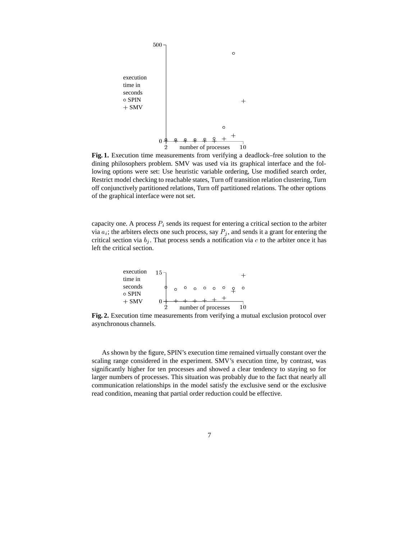

**Fig. 1.** Execution time measurements from verifying a deadlock–free solution to the dining philosophers problem. SMV was used via its graphical interface and the following options were set: Use heuristic variable ordering, Use modified search order, Restrict model checking to reachable states, Turn off transition relation clustering, Turn off conjunctively partitioned relations, Turn off partitioned relations. The other options of the graphical interface were not set.

capacity one. A process  $P_i$  sends its request for entering a critical section to the arbiter via  $a_i$ ; the arbiters elects one such process, say  $P_j$ , and sends it a grant for entering the critical section via  $b_j$ . That process sends a notification via c to the arbiter once it has left the critical section.

<sup>0</sup> execution <sup>15</sup> time in seconds SPIN <sup>+</sup> SMV <sup>2</sup> number of processes <sup>10</sup> <sup>+</sup> <sup>+</sup> <sup>+</sup> <sup>+</sup> <sup>+</sup> <sup>+</sup> <sup>+</sup> <sup>+</sup> <sup>+</sup>

**Fig. 2.** Execution time measurements from verifying a mutual exclusion protocol over asynchronous channels.

As shown by the figure, SPIN's execution time remained virtually constant over the scaling range considered in the experiment. SMV's execution time, by contrast, was significantly higher for ten processes and showed a clear tendency to staying so for larger numbers of processes. This situation was probably due to the fact that nearly all communication relationships in the model satisfy the exclusive send or the exclusive read condition, meaning that partial order reduction could be effective.